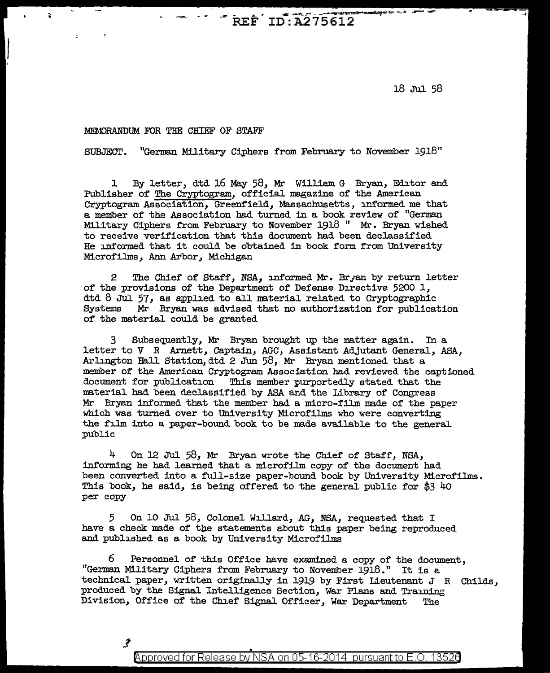$R$ REF  $ID$ : A275612

18 Jul 58

## MEMORANDUM FOR THE CHIEF OF STAFF

.,.

SUBJECT. "German Military Ciphers from February to November 1918"

1 By letter, dtd 16 May 58, Mr William G Bryan, Editor and Publisher of The Cryptogram, official magazine of the American Cryptogram Association, Green:field, Massachusetts, informed me that a member of the Association had turned in a book review of "German Military Ciphers from February to November 1918 " Mr. Bryan wished to receive verification that this document had been declassified He informed that it could be obtained in book form from University Microfilms, Ann Arbor, Michigan

2 The Chief of Staff, NSA, informed Mr. Bryan by return letter of the provisions of the Department of Defense Directive 5200 1, dtd 8 Jul 57, as applied to all material related to Cryptographic Systems Mr Bryan was advised that no authorization for publicat Mr Bryan was advised that no authorization for publication of the material could be granted

3 Subsequently, Mr Bryan brought up the matter again. In a letter to *V* R Arnett, Captain, AGC, Assistant Adjutant General, ASA, Arlington Hall Station,dtd 2 Jun 58, Mr Bryan mentioned that a member of the American Cryptogram Association had reviewed the captioned document for publication This member purportedly stated that the material had been declassified by ASA and the Library of Congress Mr Bryan informed that the member bad a micro-film made of the paper 'Which was turned over to University Microfilms who were converting the film into a paper-bound book to be made available to the general public

 $4$  On 12 Jul 58, Mr Bryan wrote the Chief of Staff, NSA, informing he had learned that a microfilm copy of the document had been converted into a full-size paper-bound book by University Microfilms. This book, he said, is being offered to the general public for \$3 40 per copy

5 On 10 Jul 58, Colonel Willard, AG, NSA, requested that I have a check made of the statements about this paper being reproduced and published as a book by University Microfilms

6 Personnel of this Office have examined a copy of the document, "German Military Ciphers from February to November 19l8." It is a technical paper, written originally in 1919 by First Lieutenant  $J$  R Childs. produced by the Signal Intelligence Section, War Plans and Training Division, Office of the Chief Signal Officer, War Department The

Approved for Release by NSA on 05-16-2014  $\,$  pursuant to E.O. 13526  $\,$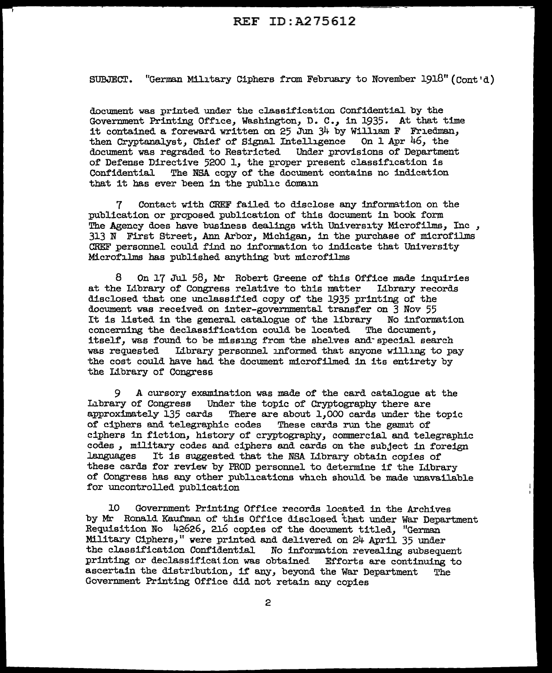## REF ID:A275612

SUBJECT. "German Military Ciphers from February to November  $1918$ " (Cont'd)

document was printed under the classification Confidential by the Government Printing Office, Washington, D. C., in 1935. At that time it contained a foreward written on  $25$  Jun  $34$  by William F Friedman, then Cryptanalyst, Chief of' Signal Intelligence On 1 Apr 46, the document was regraded to Restricted Under provisions of Department of Defense Directive 5200 1, the proper present classification is Confidential The NSA copy of the document contains no indication The NSA copy of the document contains no indication that it has ever been in the public domain

7 Contact with CREF failed to disclose any information on the :publication or proposed publication of this document in book form The Agency does have business dealings with University Microfilms, Inc , 313 N First Street, Ann Arbor, Michigan, in the purchase of microfilms CHEF personnel could find no information to indicate that University Microfilms has published anything but microfilms

 $8$  On 17 Jul 58, Mr Robert Greene of this Office made inquiries is Library of Congress relative to this matter Indianary records at the Library of Congress relative to this matter disclosed that one unclassified copy of the 1935 printing of the document was received on inter-governmental transfer on 3 Nov 55<br>It is listed in the general catalogue of the library Wo information It is listed in the general catalogue of the library Wo inform<br>concerning the declassification could be located The document. concerning the declassification could be located itself, was found to be missing from the shelves and-special search was requested Library personnel informed that anyone willing to pay the cost could have had the document microfilmed in its entirety by the Library of Congress

9 A cursory examination was made of the card catalogue at the Library of Congress Under the topic of Cryptography there are approximately 135 cards There are about 1,000 cards under the There are about  $1,000$  cards under the topic<br>ic codes These cards run the gamut of of ciphers and telegraphic codes ciphers in fiction, history of cryptography, commercial and telegraphic codes, military codes and ciphers and cards on the subject in foreign<br>languages Tt is suggested that the NSA Library obtain conjes of It is suggested that the NSA Library obtain copies of these cards for review by PROD personnel to determine if the Library of Congress has any other publications which should be made unavailable for uncontrolled publication

10 Government Printing Office records located in the Archives by Mr Ronald Kaufman of this Office disclosed that under War Department Requisition No 42626, 216 copies of the document titled, "German Military Ciphers," were printed and delivered on 24 April 35 under<br>the classification Confidential No information revealing subseque No information revealing subsequent printing or declassification was obtained Efforts are continuing to ascertain the distribution, if any, beyond the War Department The Govermnent Printing Office did not retain any copies